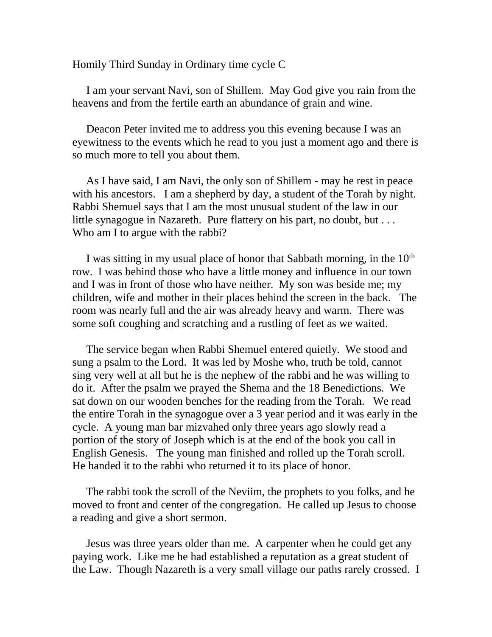Homily Third Sunday in Ordinary time cycle C

 I am your servant Navi, son of Shillem. May God give you rain from the heavens and from the fertile earth an abundance of grain and wine.

 Deacon Peter invited me to address you this evening because I was an eyewitness to the events which he read to you just a moment ago and there is so much more to tell you about them.

 As I have said, I am Navi, the only son of Shillem - may he rest in peace with his ancestors. I am a shepherd by day, a student of the Torah by night. Rabbi Shemuel says that I am the most unusual student of the law in our little synagogue in Nazareth. Pure flattery on his part, no doubt, but . . . Who am I to argue with the rabbi?

I was sitting in my usual place of honor that Sabbath morning, in the  $10<sup>th</sup>$ row. I was behind those who have a little money and influence in our town and I was in front of those who have neither. My son was beside me; my children, wife and mother in their places behind the screen in the back. The room was nearly full and the air was already heavy and warm. There was some soft coughing and scratching and a rustling of feet as we waited.

 The service began when Rabbi Shemuel entered quietly. We stood and sung a psalm to the Lord. It was led by Moshe who, truth be told, cannot sing very well at all but he is the nephew of the rabbi and he was willing to do it. After the psalm we prayed the Shema and the 18 Benedictions. We sat down on our wooden benches for the reading from the Torah. We read the entire Torah in the synagogue over a 3 year period and it was early in the cycle. A young man bar mizvahed only three years ago slowly read a portion of the story of Joseph which is at the end of the book you call in English Genesis. The young man finished and rolled up the Torah scroll. He handed it to the rabbi who returned it to its place of honor.

 The rabbi took the scroll of the Neviim, the prophets to you folks, and he moved to front and center of the congregation. He called up Jesus to choose a reading and give a short sermon.

 Jesus was three years older than me. A carpenter when he could get any paying work. Like me he had established a reputation as a great student of the Law. Though Nazareth is a very small village our paths rarely crossed. I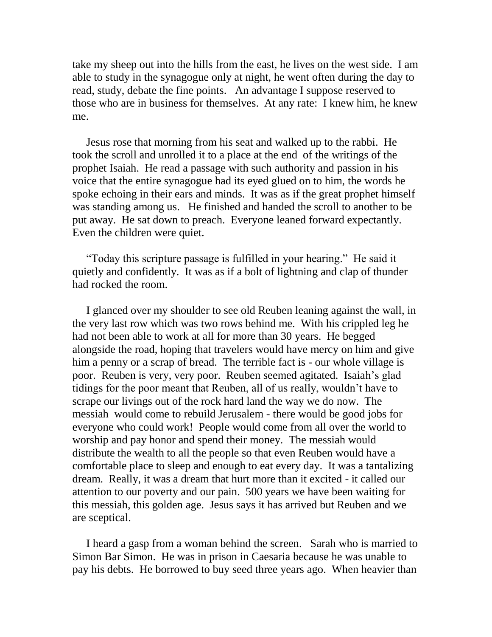take my sheep out into the hills from the east, he lives on the west side. I am able to study in the synagogue only at night, he went often during the day to read, study, debate the fine points. An advantage I suppose reserved to those who are in business for themselves. At any rate: I knew him, he knew me.

 Jesus rose that morning from his seat and walked up to the rabbi. He took the scroll and unrolled it to a place at the end of the writings of the prophet Isaiah. He read a passage with such authority and passion in his voice that the entire synagogue had its eyed glued on to him, the words he spoke echoing in their ears and minds. It was as if the great prophet himself was standing among us. He finished and handed the scroll to another to be put away. He sat down to preach. Everyone leaned forward expectantly. Even the children were quiet.

 "Today this scripture passage is fulfilled in your hearing." He said it quietly and confidently. It was as if a bolt of lightning and clap of thunder had rocked the room.

 I glanced over my shoulder to see old Reuben leaning against the wall, in the very last row which was two rows behind me. With his crippled leg he had not been able to work at all for more than 30 years. He begged alongside the road, hoping that travelers would have mercy on him and give him a penny or a scrap of bread. The terrible fact is - our whole village is poor. Reuben is very, very poor. Reuben seemed agitated. Isaiah's glad tidings for the poor meant that Reuben, all of us really, wouldn't have to scrape our livings out of the rock hard land the way we do now. The messiah would come to rebuild Jerusalem - there would be good jobs for everyone who could work! People would come from all over the world to worship and pay honor and spend their money. The messiah would distribute the wealth to all the people so that even Reuben would have a comfortable place to sleep and enough to eat every day. It was a tantalizing dream. Really, it was a dream that hurt more than it excited - it called our attention to our poverty and our pain. 500 years we have been waiting for this messiah, this golden age. Jesus says it has arrived but Reuben and we are sceptical.

 I heard a gasp from a woman behind the screen. Sarah who is married to Simon Bar Simon. He was in prison in Caesaria because he was unable to pay his debts. He borrowed to buy seed three years ago. When heavier than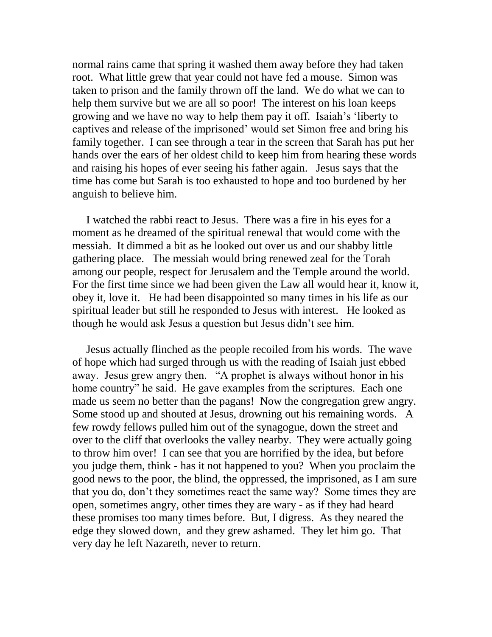normal rains came that spring it washed them away before they had taken root. What little grew that year could not have fed a mouse. Simon was taken to prison and the family thrown off the land. We do what we can to help them survive but we are all so poor! The interest on his loan keeps growing and we have no way to help them pay it off. Isaiah's 'liberty to captives and release of the imprisoned' would set Simon free and bring his family together. I can see through a tear in the screen that Sarah has put her hands over the ears of her oldest child to keep him from hearing these words and raising his hopes of ever seeing his father again. Jesus says that the time has come but Sarah is too exhausted to hope and too burdened by her anguish to believe him.

 I watched the rabbi react to Jesus. There was a fire in his eyes for a moment as he dreamed of the spiritual renewal that would come with the messiah. It dimmed a bit as he looked out over us and our shabby little gathering place. The messiah would bring renewed zeal for the Torah among our people, respect for Jerusalem and the Temple around the world. For the first time since we had been given the Law all would hear it, know it, obey it, love it. He had been disappointed so many times in his life as our spiritual leader but still he responded to Jesus with interest. He looked as though he would ask Jesus a question but Jesus didn't see him.

 Jesus actually flinched as the people recoiled from his words. The wave of hope which had surged through us with the reading of Isaiah just ebbed away. Jesus grew angry then. "A prophet is always without honor in his home country" he said. He gave examples from the scriptures. Each one made us seem no better than the pagans! Now the congregation grew angry. Some stood up and shouted at Jesus, drowning out his remaining words. A few rowdy fellows pulled him out of the synagogue, down the street and over to the cliff that overlooks the valley nearby. They were actually going to throw him over! I can see that you are horrified by the idea, but before you judge them, think - has it not happened to you? When you proclaim the good news to the poor, the blind, the oppressed, the imprisoned, as I am sure that you do, don't they sometimes react the same way? Some times they are open, sometimes angry, other times they are wary - as if they had heard these promises too many times before. But, I digress. As they neared the edge they slowed down, and they grew ashamed. They let him go. That very day he left Nazareth, never to return.